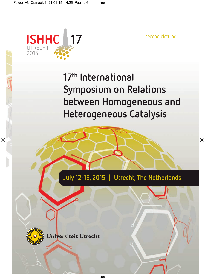second circular



## **17th International Symposium on Relations between Homogeneous and Heterogeneous Catalysis**

**July 12-15, 2015 | Utrecht, The Netherlands**



Universiteit Utrecht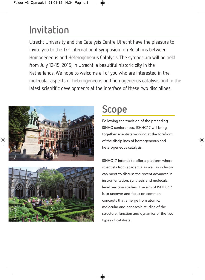### **Invitation**

Utrecht University and the Catalysis Centre Utrecht have the pleasure to invite you to the 17<sup>th</sup> International Symposium on Relations between Homogeneous and Heterogeneous Catalysis. The symposium will be held from July 12-15, 2015, in Utrecht, a beautiful historic city in the Netherlands. We hope to welcome all of you who are interested in the molecular aspects of heterogeneous and homogeneous catalysis and in the latest scientific developments at the interface of these two disciplines.





Following the tradition of the preceding ISHHC conferences, ISHHC17 will bring together scientists working at the forefront of the disciplines of homogeneous and heterogeneous catalysis.



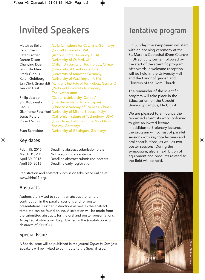## **Invited Speakers**

| Matthias Beller     | (Leibniz Institute for Catalysis, Germany)                 |
|---------------------|------------------------------------------------------------|
| Peng Chen           | (Cornell University, USA)                                  |
| Peter Crozier       | (Arizona State University, USA)                            |
| Darren Dixon        | (University of Oxford, UK)                                 |
| Chunying Duan       | (Dalian University of Technology, China)                   |
| Lynn Gladden        | (University of Cambridge, UK)                              |
| Frank Glorius       | (University of Münster, Germany)                           |
| Karen Goldberg      | (University of Washington, USA)                            |
| Jan-Dierk Grunwaldt | (Karlsruhe Institute of Technology, Germany)               |
| Jan van Hest        | (Radboud University Nijmegen,                              |
|                     | The Netherlands)                                           |
| Philip Jessop       | (Queen's University, Canada)                               |
| Shu Kobayashi       | (The University of Tokyo, Japan)                           |
| Can Li              | (Chinese Academy of Sciences, China)                       |
|                     | Gianfranco Pacchioni (University of Milano-Bicocca, Italy) |
| Jonas Peters        | (California Institute of Technology, USA)                  |
| Robert Schlögl      | (Fritz Haber Institute of the Max Planck                   |
|                     | Society, Germany)                                          |
| Sven Schneider      | (University of Göttingen, Germany)                         |

#### **Key dates**

| Deadline abstract submission orals   |
|--------------------------------------|
| Notification of acceptance           |
| Deadline abstract submission posters |
| Deadline early registration          |
|                                      |

Registration and abstract submission take place online at www.ishhc17.org.

#### **Abstracts**

Authors are invited to submit an abstract for an oral contribution in the parallel sessions and for poster presentations. Further instructions as well as the abstract template can be found online. A selection will be made from the submitted abstracts for the oral and poster presentations. Accepted abstracts will be published in the (digital) book of abstracts of ISHHC17.

### **Special Issue**

A Special Issue will be published in the journal *Topics in Catalysis*. Speakers will be invited to contribute to the Special Issue.

### **Tentative program**

On Sunday, the symposium will start with an opening ceremony at the St. Martin's Cathedral (Dom Church) in Utrecht city center, followed by the start of the scientific program. Afterwards, a welcome reception will be held in the University Hall and the Pandhof garden and Cloisters of the Dom Church.

The remainder of the scientific program will take place in the Educatorium on the Utrecht University campus, De Uithof.

We are pleased to announce the renowned scientists who confirmed to give an invited lecture. In addition to 8 plenary lectures, the program will consist of parallel sessions with keynote lectures and oral contributions, as well as two poster sessions. During the symposium, also an exhibition of equipment and products related to the field will be held.

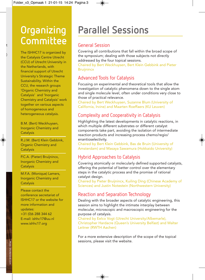### **Organizing Committee**

The ISHHC17 is organized by the Catalysis Centre Utrecht (CCU) of Utrecht University in the Netherlands, with financial support of Utrecht University's Strategic Theme Sustainability. Within the CCU, the research groups 'Organic Chemistry and Catalysis' and 'Inorganic Chemistry and Catalysis' work together on various aspects of homogeneous and heterogeneous catalysis.

B.M. (Bert) Weckhuysen, Inorganic Chemistry and **Catalysis** 

R.J.M. (Bert) Klein Gebbink, Organic Chemistry and **Catalysis** 

P.C.A. (Pieter) Bruijnincx, Inorganic Chemistry and **Catalysis** 

M.F.A. (Monique) Lamers, Inorganic Chemistry and **Catalysis** 

Please contact the conference secretariat of ISHHC17 or the website for more information and updates: +31 (0)6 288 344 62 E-mail: ishhc17@uu.nl www.ishhc17.org

### **Parallel Sessions**

#### General Session

Covering all contributions that fall within the broad scope of the symposium; dealing with those subjects not directly addressed by the four topical sessions.

Chaired by Bert Weckhuysen, Bert Klein Gebbink and Pieter **Bruijnincx** 

#### Advanced Tools for Catalysis

Focusing on experimental and theoretical tools that allow the investigation of catalytic phenomena down to the single atom and single molecule level, often under conditions very close to those of practical relevance.

Chaired by Bert Weckhuysen, Suzanne Blum (University of California, Irvine) and Maarten Roeffaers (KU Leuven)

#### Complexity and Cooperativity in Catalysis

Highlighting the latest developments in catalytic reactions, in which multiple different substrates or different catalyst components take part, avoiding the isolation of intermediate reaction products and increasing process chemo/regio/ enantioselectivity.

Chaired by Bert Klein Gebbink, Bas de Bruin (University of Amsterdam) and Masaya Sawamura (Hokkaido University)

#### Hybrid Approaches to Catalysis

Covering atomically or molecularly defined supported catalysts, offering the potential of better control over the elementary steps in the catalytic process and the promise of rational catalyst design.

Chaired by Pieter Bruijnincx, Kuiling Ding (Chinese Academy of Sciences) and Justin Notestein (Northwestern University)

#### Reaction and Separation Technology

Dealing with the broader aspects of catalytic engineering, this session aims to highlight the intimate interplay between molecular, microscopic and macroscopic engineering for the purpose of catalysis.

Chaired by Eelco Vogt (Utrecht University/Albemarle), Christopher Hardacre (Queen's University Belfast) and Walter Leitner (RWTH Aachen)

For a more extensive description of the scope of the topical sessions, please visit the website.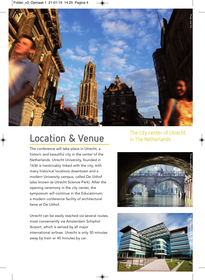

The conference will take place in Utrecht, a historic and beautiful city in the center of the Netherlands. Utrecht University, founded in 1636 is inextricably linked with the city, with many historical locations downtown and a modern University campus, called De Uithof (also known as Utrecht Science Park). After the opening ceremony in the city center, the symposium will continue in the Educatorium, a modern conference facility of architectural fame at De Uithof.

Utrecht can be easily reached via several routes, most conveniently via Amsterdam Schiphol Airport, which is served by all major international airlines. Utrecht is only 30 minutes away by train or 45 minutes by car.

# **Location & Venue** The city center of Utrecht<br> **Location & Venue** in The Netherlands